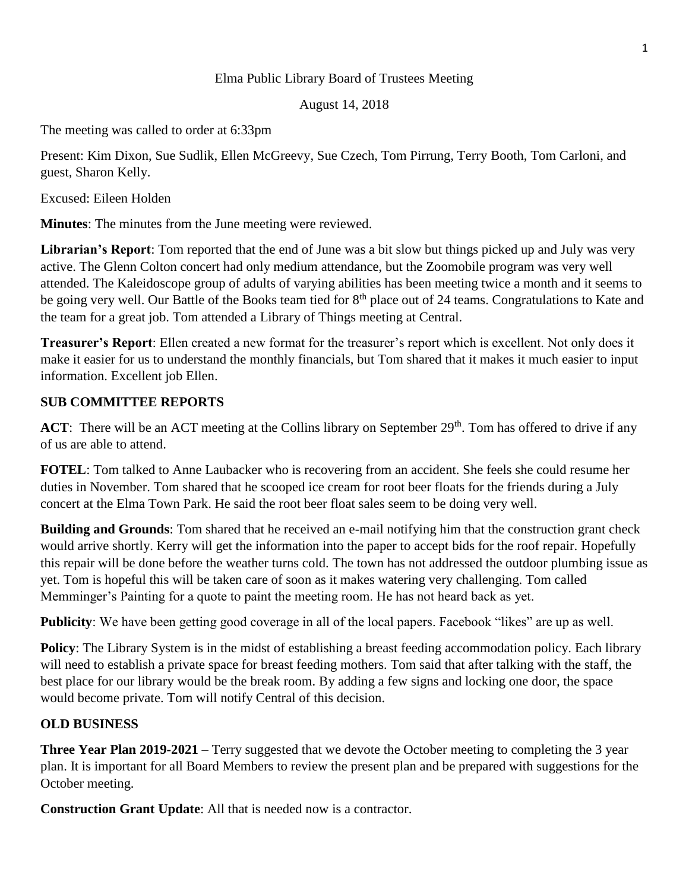#### Elma Public Library Board of Trustees Meeting

August 14, 2018

The meeting was called to order at 6:33pm

Present: Kim Dixon, Sue Sudlik, Ellen McGreevy, Sue Czech, Tom Pirrung, Terry Booth, Tom Carloni, and guest, Sharon Kelly.

Excused: Eileen Holden

**Minutes**: The minutes from the June meeting were reviewed.

**Librarian's Report**: Tom reported that the end of June was a bit slow but things picked up and July was very active. The Glenn Colton concert had only medium attendance, but the Zoomobile program was very well attended. The Kaleidoscope group of adults of varying abilities has been meeting twice a month and it seems to be going very well. Our Battle of the Books team tied for 8<sup>th</sup> place out of 24 teams. Congratulations to Kate and the team for a great job. Tom attended a Library of Things meeting at Central.

**Treasurer's Report**: Ellen created a new format for the treasurer's report which is excellent. Not only does it make it easier for us to understand the monthly financials, but Tom shared that it makes it much easier to input information. Excellent job Ellen.

## **SUB COMMITTEE REPORTS**

**ACT**: There will be an ACT meeting at the Collins library on September 29<sup>th</sup>. Tom has offered to drive if any of us are able to attend.

**FOTEL**: Tom talked to Anne Laubacker who is recovering from an accident. She feels she could resume her duties in November. Tom shared that he scooped ice cream for root beer floats for the friends during a July concert at the Elma Town Park. He said the root beer float sales seem to be doing very well.

**Building and Grounds**: Tom shared that he received an e-mail notifying him that the construction grant check would arrive shortly. Kerry will get the information into the paper to accept bids for the roof repair. Hopefully this repair will be done before the weather turns cold. The town has not addressed the outdoor plumbing issue as yet. Tom is hopeful this will be taken care of soon as it makes watering very challenging. Tom called Memminger's Painting for a quote to paint the meeting room. He has not heard back as yet.

**Publicity**: We have been getting good coverage in all of the local papers. Facebook "likes" are up as well.

**Policy**: The Library System is in the midst of establishing a breast feeding accommodation policy. Each library will need to establish a private space for breast feeding mothers. Tom said that after talking with the staff, the best place for our library would be the break room. By adding a few signs and locking one door, the space would become private. Tom will notify Central of this decision.

## **OLD BUSINESS**

**Three Year Plan 2019-2021** – Terry suggested that we devote the October meeting to completing the 3 year plan. It is important for all Board Members to review the present plan and be prepared with suggestions for the October meeting.

**Construction Grant Update**: All that is needed now is a contractor.